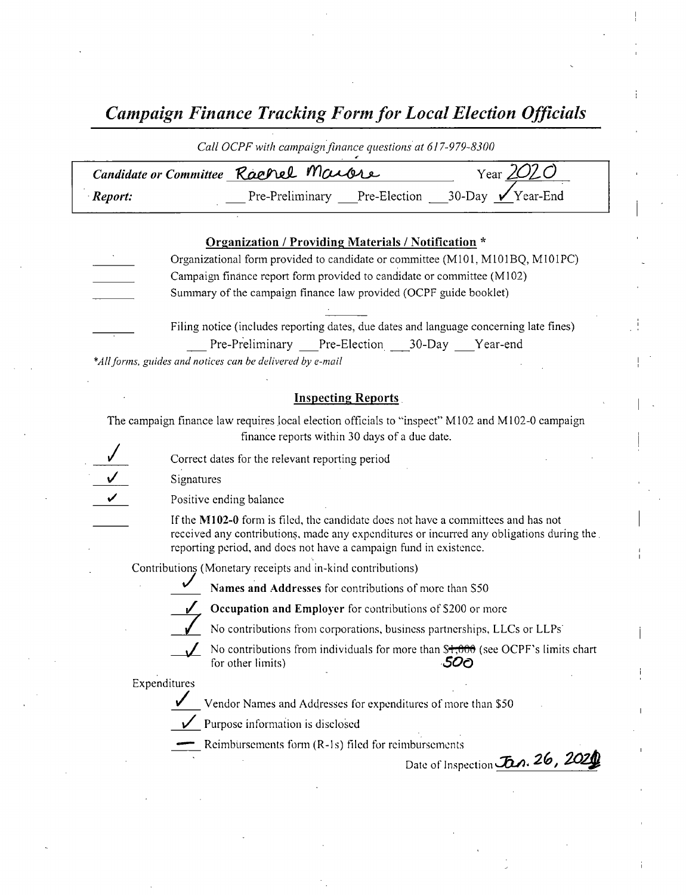Campaign Finance Tracking Form for Local Election Officials

| Call OCPF with campaign finance questions at 617-979-8300 |                              |  |                                       |  |  |
|-----------------------------------------------------------|------------------------------|--|---------------------------------------|--|--|
| Year $2020$<br>Candidate or Committee Rachel Marcre       |                              |  |                                       |  |  |
| Report:                                                   | Pre-Preliminary Pre-Election |  | $\sqrt{9}$ 30-Day $\sqrt{1}$ Year-End |  |  |

| Organization / Providing Materials / Notification * |                                                                                        |  |  |  |
|-----------------------------------------------------|----------------------------------------------------------------------------------------|--|--|--|
|                                                     | Organizational form provided to candidate or committee (M101, M101BQ, M101PC)          |  |  |  |
|                                                     | Campaign finance report form provided to candidate or committee (M102)                 |  |  |  |
|                                                     | Summary of the campaign finance law provided (OCPF guide booklet)                      |  |  |  |
|                                                     |                                                                                        |  |  |  |
|                                                     | Filing notice (includes reporting dates, due dates and language concerning late fines) |  |  |  |
|                                                     | Pre-Preliminary Pre-Election ___30-Day ___Year-end                                     |  |  |  |

\*All forms, guides and notices can be delivered by e-mail

#### Inspecting Reports.

The campaign finance law requires local election officials to "inspect" M102 and M102-0 campaign finance reports within 30 days of <sup>a</sup> due date.

Correct dates for the relevant reporting period

Signatures

Positive ending balance

If the M102-0 form is filed, the candidate does not have a committees and has not received any contributions, made any expenditures or incurred any obligations during the. reporting period, and does not have <sup>a</sup> campaign fund in existence.

Contributions ( Monetary receipts and in- kind contributions)

Names and Addresses for contributions of more than S50

Occupation and Employer for contributions of \$200 or more

No contributions from corporations, business partnerships, LLCs or LLPs<sup>.</sup>

No contributions from individuals for more than  $\frac{$+}{5000}$  (see OCPF's limits chart for other limits) for other limits)

#### Expenditures

Vendor Names and Addresses for expenditures of more than \$50

 $\sqrt{\phantom{a}}$  Purpose information is disclosed

Reimbursements form (R-1s) filed for reimbursements

Date of Inspection Jan. 26, 2021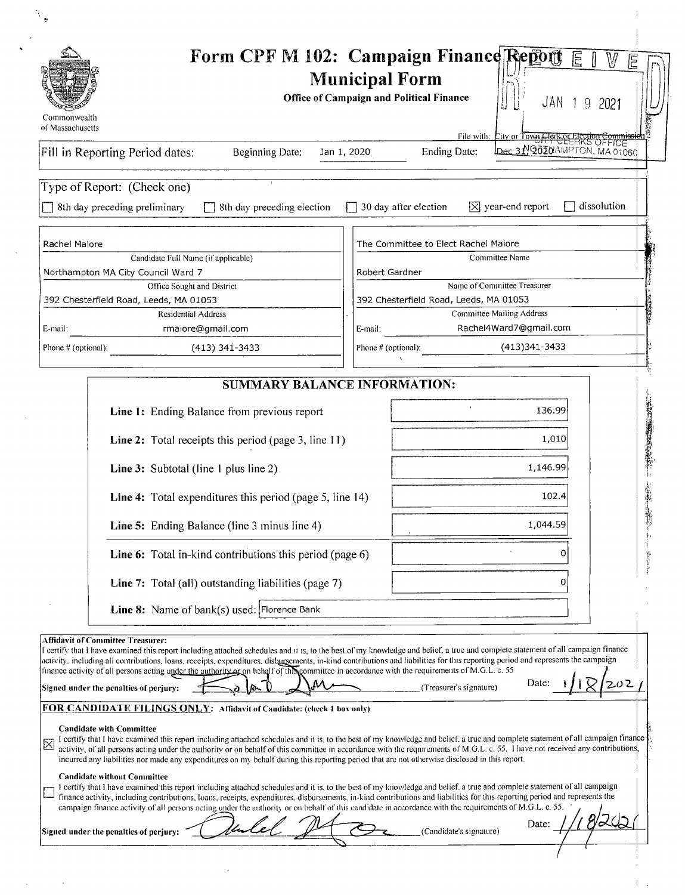| Commonwealth<br>of Massachusetts |                                                                                                                                                                                                                                                                                                                                                                                                                                                                                                                                                                                                                                                                                                                                                                                                                                                                                                                                                                                                                                                                                                                                                                                                                                                                                                                                                                                                                                                                                                                                                                                                                                                                                                                                                                                                                    | <b>Municipal Form</b> | <b>Office of Campaign and Political Finance</b> | JAN 19 2021                                                                                          | 尼           |
|----------------------------------|--------------------------------------------------------------------------------------------------------------------------------------------------------------------------------------------------------------------------------------------------------------------------------------------------------------------------------------------------------------------------------------------------------------------------------------------------------------------------------------------------------------------------------------------------------------------------------------------------------------------------------------------------------------------------------------------------------------------------------------------------------------------------------------------------------------------------------------------------------------------------------------------------------------------------------------------------------------------------------------------------------------------------------------------------------------------------------------------------------------------------------------------------------------------------------------------------------------------------------------------------------------------------------------------------------------------------------------------------------------------------------------------------------------------------------------------------------------------------------------------------------------------------------------------------------------------------------------------------------------------------------------------------------------------------------------------------------------------------------------------------------------------------------------------------------------------|-----------------------|-------------------------------------------------|------------------------------------------------------------------------------------------------------|-------------|
|                                  | Fill in Reporting Period dates:<br>Beginning Date:                                                                                                                                                                                                                                                                                                                                                                                                                                                                                                                                                                                                                                                                                                                                                                                                                                                                                                                                                                                                                                                                                                                                                                                                                                                                                                                                                                                                                                                                                                                                                                                                                                                                                                                                                                 | Jan 1, 2020           | Ending Date:                                    | File with: Lity or Town <del>Clear or Hection Commissie</del><br>Date: Dec 31, 2020 DMPTON, MA 01060 |             |
|                                  |                                                                                                                                                                                                                                                                                                                                                                                                                                                                                                                                                                                                                                                                                                                                                                                                                                                                                                                                                                                                                                                                                                                                                                                                                                                                                                                                                                                                                                                                                                                                                                                                                                                                                                                                                                                                                    |                       |                                                 |                                                                                                      |             |
|                                  | Type of Report: (Check one)                                                                                                                                                                                                                                                                                                                                                                                                                                                                                                                                                                                                                                                                                                                                                                                                                                                                                                                                                                                                                                                                                                                                                                                                                                                                                                                                                                                                                                                                                                                                                                                                                                                                                                                                                                                        |                       |                                                 |                                                                                                      |             |
|                                  | 8th day preceding preliminary<br>8th day preceding election                                                                                                                                                                                                                                                                                                                                                                                                                                                                                                                                                                                                                                                                                                                                                                                                                                                                                                                                                                                                                                                                                                                                                                                                                                                                                                                                                                                                                                                                                                                                                                                                                                                                                                                                                        |                       | $\Box$ 30 day after election                    | $\triangledown$ year-end report                                                                      | dissolution |
|                                  |                                                                                                                                                                                                                                                                                                                                                                                                                                                                                                                                                                                                                                                                                                                                                                                                                                                                                                                                                                                                                                                                                                                                                                                                                                                                                                                                                                                                                                                                                                                                                                                                                                                                                                                                                                                                                    |                       |                                                 |                                                                                                      |             |
| Rachel Maiore                    | Candidate Full Name (if applicable)                                                                                                                                                                                                                                                                                                                                                                                                                                                                                                                                                                                                                                                                                                                                                                                                                                                                                                                                                                                                                                                                                                                                                                                                                                                                                                                                                                                                                                                                                                                                                                                                                                                                                                                                                                                |                       | The Committee to Elect Rachel Maiore            | Committee Name                                                                                       |             |
|                                  | Northampton MA City Council Ward 7                                                                                                                                                                                                                                                                                                                                                                                                                                                                                                                                                                                                                                                                                                                                                                                                                                                                                                                                                                                                                                                                                                                                                                                                                                                                                                                                                                                                                                                                                                                                                                                                                                                                                                                                                                                 |                       | Robert Gardner                                  |                                                                                                      |             |
|                                  | Office Sought and District                                                                                                                                                                                                                                                                                                                                                                                                                                                                                                                                                                                                                                                                                                                                                                                                                                                                                                                                                                                                                                                                                                                                                                                                                                                                                                                                                                                                                                                                                                                                                                                                                                                                                                                                                                                         |                       |                                                 | Name of Committee Treasurer                                                                          |             |
|                                  | 392 Chesterfield Road, Leeds, MA 01053<br><b>Residential Address</b>                                                                                                                                                                                                                                                                                                                                                                                                                                                                                                                                                                                                                                                                                                                                                                                                                                                                                                                                                                                                                                                                                                                                                                                                                                                                                                                                                                                                                                                                                                                                                                                                                                                                                                                                               |                       | 392 Chesterfield Road, Leeds, MA 01053          | <b>Committee Mailing Address</b>                                                                     |             |
| E-mail:                          | rmaiore@gmail.com                                                                                                                                                                                                                                                                                                                                                                                                                                                                                                                                                                                                                                                                                                                                                                                                                                                                                                                                                                                                                                                                                                                                                                                                                                                                                                                                                                                                                                                                                                                                                                                                                                                                                                                                                                                                  | E-mail:               |                                                 | Rachel4Ward7@gmail.com                                                                               |             |
| Phone # (optional):              | $(413)$ 341-3433                                                                                                                                                                                                                                                                                                                                                                                                                                                                                                                                                                                                                                                                                                                                                                                                                                                                                                                                                                                                                                                                                                                                                                                                                                                                                                                                                                                                                                                                                                                                                                                                                                                                                                                                                                                                   |                       | Phone # (optional):                             | (413) 341 - 3433                                                                                     |             |
|                                  |                                                                                                                                                                                                                                                                                                                                                                                                                                                                                                                                                                                                                                                                                                                                                                                                                                                                                                                                                                                                                                                                                                                                                                                                                                                                                                                                                                                                                                                                                                                                                                                                                                                                                                                                                                                                                    |                       |                                                 |                                                                                                      |             |
|                                  | <b>SUMMARY BALANCE INFORMATION:</b>                                                                                                                                                                                                                                                                                                                                                                                                                                                                                                                                                                                                                                                                                                                                                                                                                                                                                                                                                                                                                                                                                                                                                                                                                                                                                                                                                                                                                                                                                                                                                                                                                                                                                                                                                                                |                       |                                                 |                                                                                                      |             |
|                                  | Line 1: Ending Balance from previous report                                                                                                                                                                                                                                                                                                                                                                                                                                                                                                                                                                                                                                                                                                                                                                                                                                                                                                                                                                                                                                                                                                                                                                                                                                                                                                                                                                                                                                                                                                                                                                                                                                                                                                                                                                        |                       |                                                 | 136.99                                                                                               |             |
|                                  |                                                                                                                                                                                                                                                                                                                                                                                                                                                                                                                                                                                                                                                                                                                                                                                                                                                                                                                                                                                                                                                                                                                                                                                                                                                                                                                                                                                                                                                                                                                                                                                                                                                                                                                                                                                                                    |                       |                                                 |                                                                                                      |             |
|                                  | Line 2: Total receipts this period (page 3, line 11)                                                                                                                                                                                                                                                                                                                                                                                                                                                                                                                                                                                                                                                                                                                                                                                                                                                                                                                                                                                                                                                                                                                                                                                                                                                                                                                                                                                                                                                                                                                                                                                                                                                                                                                                                               |                       |                                                 | 1,010                                                                                                |             |
|                                  | Line 3: Subtotal (line 1 plus line 2)                                                                                                                                                                                                                                                                                                                                                                                                                                                                                                                                                                                                                                                                                                                                                                                                                                                                                                                                                                                                                                                                                                                                                                                                                                                                                                                                                                                                                                                                                                                                                                                                                                                                                                                                                                              |                       |                                                 | 1,146.99                                                                                             |             |
|                                  | Line 4: Total expenditures this period (page 5, line 14)                                                                                                                                                                                                                                                                                                                                                                                                                                                                                                                                                                                                                                                                                                                                                                                                                                                                                                                                                                                                                                                                                                                                                                                                                                                                                                                                                                                                                                                                                                                                                                                                                                                                                                                                                           |                       |                                                 | 102.4                                                                                                |             |
|                                  | Line 5: Ending Balance (line 3 minus line 4)                                                                                                                                                                                                                                                                                                                                                                                                                                                                                                                                                                                                                                                                                                                                                                                                                                                                                                                                                                                                                                                                                                                                                                                                                                                                                                                                                                                                                                                                                                                                                                                                                                                                                                                                                                       |                       |                                                 | 1,044.59                                                                                             |             |
|                                  | Line 6: Total in-kind contributions this period (page 6)                                                                                                                                                                                                                                                                                                                                                                                                                                                                                                                                                                                                                                                                                                                                                                                                                                                                                                                                                                                                                                                                                                                                                                                                                                                                                                                                                                                                                                                                                                                                                                                                                                                                                                                                                           |                       |                                                 |                                                                                                      |             |
|                                  | Line 7: Total (all) outstanding liabilities (page 7)                                                                                                                                                                                                                                                                                                                                                                                                                                                                                                                                                                                                                                                                                                                                                                                                                                                                                                                                                                                                                                                                                                                                                                                                                                                                                                                                                                                                                                                                                                                                                                                                                                                                                                                                                               |                       |                                                 | U                                                                                                    |             |
|                                  | Line 8: Name of bank(s) used: Florence Bank                                                                                                                                                                                                                                                                                                                                                                                                                                                                                                                                                                                                                                                                                                                                                                                                                                                                                                                                                                                                                                                                                                                                                                                                                                                                                                                                                                                                                                                                                                                                                                                                                                                                                                                                                                        |                       |                                                 |                                                                                                      |             |
| ⊠                                | <b>Affidavit of Committee Treasurer:</b><br>I certify that I have examined this report including attached schedules and it is, to the best of my knowledge and belief, a true and complete statement of all campaign finance<br>activity, including all contributions, loans, receipts, expenditures, disburgements, in-kind contributions and liabilities for this reporting period and represents the campaign<br>finance activity of all persons acting under the authority of on behalf of this committee in accordance with the requirements of M.G.L. c. 55<br>Signed under the penalties of perjury:<br><b>FOR CANDIDATE FILINGS ONLY:</b> Affidavit of Candidate: (check 1 box only)<br><b>Candidate with Committee</b><br>I certify that I have examined this report including attached schedules and it is, to the best of my knowledge and belief, a true and complete statement of all campaign finance<br>activity, of all persons acting under the authority or on behalf of this committee in accordance with the requirements of M.G.L. c. 55. I have not received any contributions,<br>incurred any liabilities nor made any expenditures on my behalf during this reporting period that are not otherwise disclosed in this report.<br><b>Candidate without Committee</b><br>I certify that I have examined this report including attached schedules and it is, to the best of my knowledge and belief, a true and complete statement of all campaign<br>finance activity, including contributions, loans, receipts, expenditures, disbursements, in-kind contributions and liabilities for this reporting period and represents the<br>campaign finance activity of all persons acting under the authority or on behalf of this candidate in accordance with the requirements of M.G.L. c. 55. |                       | (Treasurer's signature)                         | Date:                                                                                                | 202         |

 $\sim$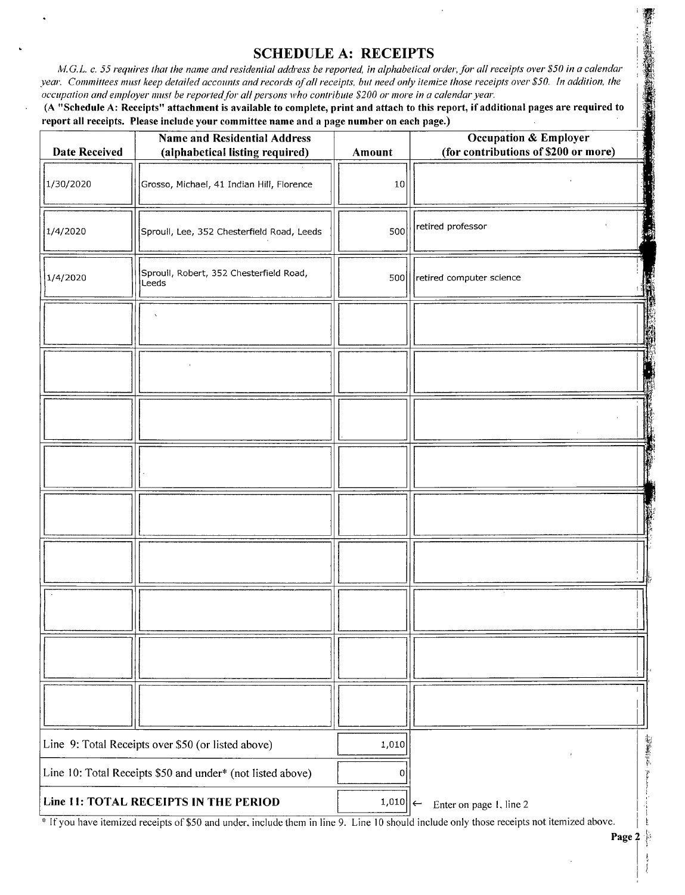# SCHEDULE A: RECEIPTS

M.G.L. c. 55 requires that the name and residential address be reported, in alphabetical order, for all receipts over \$50 in a calendar year. Committees must keep detailed accounts and records of all receipts, but need only itemize those receipts over \$50. In addition, the occupation and employer must be reported for all persons who contribute \$200 or more in a calendar year.

(A "Schedule A: Receipts" attachment is available to complete, print and attach to this report, if additional pages are required to report all receipts. Please include your committee name and a page number on each page.)

| <b>Date Received</b>                                                         | <b>Name and Residential Address</b><br>(alphabetical listing required) | Amount                  | <b>Occupation &amp; Employer</b><br>(for contributions of \$200 or more) |
|------------------------------------------------------------------------------|------------------------------------------------------------------------|-------------------------|--------------------------------------------------------------------------|
| 1/30/2020                                                                    | Grosso, Michael, 41 Indian Hill, Florence                              | 10                      |                                                                          |
| 1/4/2020                                                                     | Sproull, Lee, 352 Chesterfield Road, Leeds                             | 500                     | retired professor                                                        |
| 1/4/2020                                                                     | Sproull, Robert, 352 Chesterfield Road,<br>Leeds                       |                         | 500 Fetired computer science                                             |
|                                                                              |                                                                        |                         |                                                                          |
|                                                                              |                                                                        |                         |                                                                          |
|                                                                              |                                                                        |                         |                                                                          |
|                                                                              |                                                                        |                         |                                                                          |
|                                                                              |                                                                        |                         |                                                                          |
|                                                                              |                                                                        |                         |                                                                          |
|                                                                              |                                                                        |                         |                                                                          |
|                                                                              |                                                                        |                         |                                                                          |
|                                                                              |                                                                        |                         |                                                                          |
| Line 9: Total Receipts over \$50 (or listed above)<br>1,010                  |                                                                        |                         |                                                                          |
| Line 10: Total Receipts \$50 and under* (not listed above)                   |                                                                        | 0                       | The President                                                            |
| Line 11: TOTAL RECEIPTS IN THE PERIOD<br>$1,010$ $\left  \leftarrow \right.$ |                                                                        | Enter on page 1, line 2 |                                                                          |

If you have itemized receipts of\$ <sup>50</sup> and under, include them in line 9. Line <sup>10</sup> should include only those receipts not itemized above.

|<br>|

- 1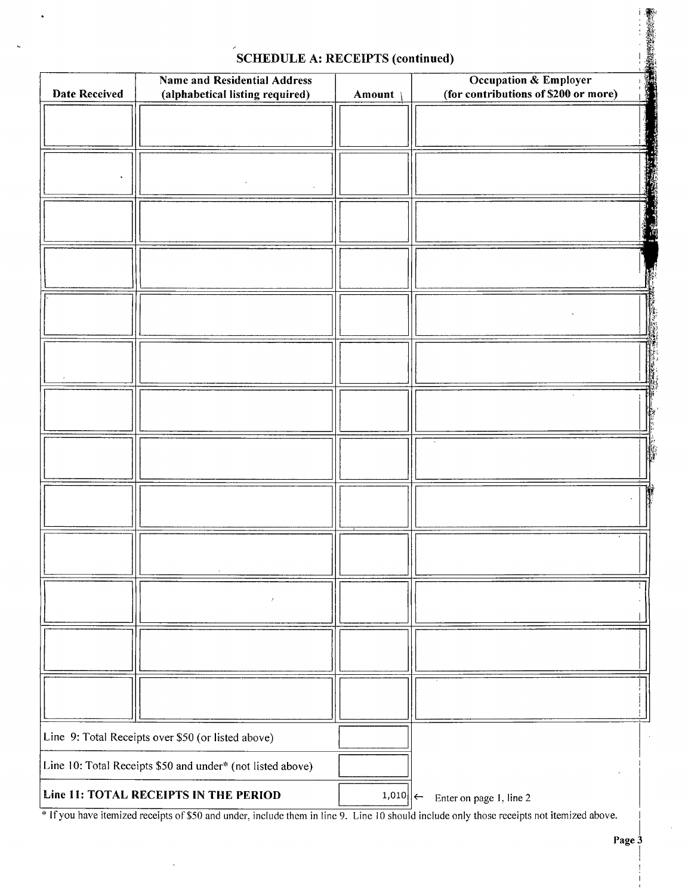| <b>SCHEDULE A: RECEIPTS (continued)</b> |                                                                        |             |                                                               |  |  |
|-----------------------------------------|------------------------------------------------------------------------|-------------|---------------------------------------------------------------|--|--|
| <b>Date Received</b>                    | <b>Name and Residential Address</b><br>(alphabetical listing required) | Amount      | Occupation & Employer<br>(for contributions of \$200 or more) |  |  |
|                                         |                                                                        |             |                                                               |  |  |
|                                         |                                                                        |             |                                                               |  |  |
|                                         |                                                                        |             |                                                               |  |  |
|                                         |                                                                        |             |                                                               |  |  |
|                                         |                                                                        |             |                                                               |  |  |
|                                         |                                                                        |             |                                                               |  |  |
|                                         |                                                                        |             |                                                               |  |  |
|                                         |                                                                        |             |                                                               |  |  |
|                                         |                                                                        |             |                                                               |  |  |
|                                         |                                                                        |             |                                                               |  |  |
|                                         |                                                                        |             |                                                               |  |  |
|                                         |                                                                        |             |                                                               |  |  |
|                                         |                                                                        |             |                                                               |  |  |
|                                         | Line 9: Total Receipts over \$50 (or listed above)                     |             |                                                               |  |  |
|                                         | Line 10: Total Receipts \$50 and under* (not listed above)             |             |                                                               |  |  |
|                                         | Line 11: TOTAL RECEIPTS IN THE PERIOD                                  | $1,010$   ← | Enter on page 1, line 2                                       |  |  |

### SCHEDULE A: RECEIPTS (continued)

.

If you have itemized receipts of \$50 and under, include them in line 9. Line 10 should include only those receipts not itemized above.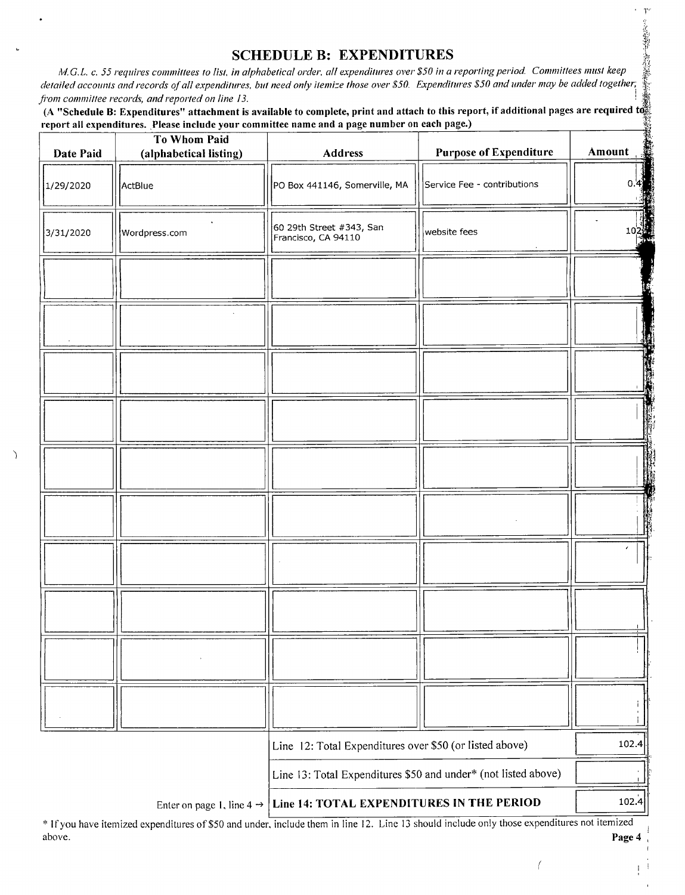### SCHEDULE B: EXPENDITURES

A/. G. L. c. 55 requires committees to list, in alphabetical order, all expenditures over\$ 50 in a reporting period. Committees must keep detailed accounts and records of all expenditures, but need only itemize those over \$50. Expenditures \$50 and under may be added together,<br>from committee records, and reported on line 13. from committee records, and reported on line 13. And  $\frac{1}{2}$  if  $\frac{1}{2}$ 

A "Schedule B: Expenditures" attachment is available to complete, print and attach to this report, if additional pages are required to report all expenditures. Please include your committee name and a page number on each page.)

| Date Paid | To Whom Paid<br>(alphabetical listing) | <b>Address</b>                                                                  | <b>Purpose of Expenditure</b> | Amount |
|-----------|----------------------------------------|---------------------------------------------------------------------------------|-------------------------------|--------|
| 1/29/2020 | ActBlue                                | PO Box 441146, Somerville, MA                                                   | Service Fee - contributions   | 0      |
| 3/31/2020 | Wordpress.com                          | 60 29th Street #343, San<br>Francisco, CA 94110                                 | website fees                  | 10.    |
|           |                                        |                                                                                 |                               |        |
|           |                                        |                                                                                 |                               |        |
|           |                                        |                                                                                 |                               |        |
|           |                                        |                                                                                 |                               |        |
|           |                                        |                                                                                 |                               |        |
|           |                                        |                                                                                 |                               |        |
|           |                                        |                                                                                 |                               |        |
|           |                                        |                                                                                 |                               |        |
|           |                                        |                                                                                 |                               |        |
|           |                                        |                                                                                 |                               |        |
|           |                                        | Line 12: Total Expenditures over \$50 (or listed above)                         |                               | 102.4  |
|           |                                        | Line 13: Total Expenditures \$50 and under* (not listed above)                  |                               |        |
|           |                                        | Enter on page 1, line $4 \rightarrow$ Line 14: TOTAL EXPENDITURES IN THE PERIOD |                               | 102.4  |

C)

IFyou have itemized expenditures of\$50 and under, include them in line 12. Line <sup>13</sup> should include only those expenditures not itemized above. **Page 4** and the contract of the contract of the contract of the contract of the contract of the contract of the contract of the contract of the contract of the contract of the contract of the contract of the contra

 $\bigg($ 

A. P. P. P. P. P. P. P. P. P. P. P.

 $\overline{1}$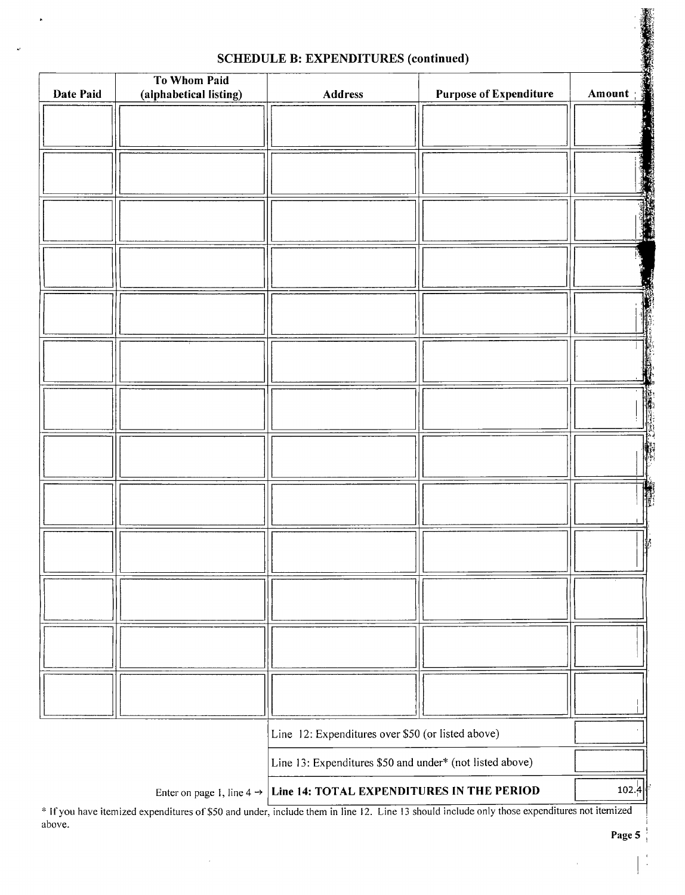| Date Paid | <b>To Whom Paid</b><br>(alphabetical listing) | <b>Address</b>                                                                                                                             | <b>Purpose of Expenditure</b> | Amount:   |
|-----------|-----------------------------------------------|--------------------------------------------------------------------------------------------------------------------------------------------|-------------------------------|-----------|
|           |                                               |                                                                                                                                            |                               |           |
|           |                                               |                                                                                                                                            |                               |           |
|           |                                               |                                                                                                                                            |                               |           |
|           |                                               |                                                                                                                                            |                               |           |
|           |                                               |                                                                                                                                            |                               |           |
|           |                                               |                                                                                                                                            |                               |           |
|           |                                               |                                                                                                                                            |                               | <b>AF</b> |
|           |                                               |                                                                                                                                            |                               |           |
|           |                                               |                                                                                                                                            |                               |           |
|           |                                               |                                                                                                                                            |                               |           |
|           |                                               |                                                                                                                                            |                               |           |
|           |                                               |                                                                                                                                            |                               |           |
|           |                                               |                                                                                                                                            |                               |           |
|           |                                               |                                                                                                                                            |                               |           |
|           |                                               |                                                                                                                                            |                               |           |
|           |                                               |                                                                                                                                            |                               |           |
|           |                                               |                                                                                                                                            |                               |           |
|           |                                               |                                                                                                                                            |                               |           |
|           |                                               |                                                                                                                                            |                               |           |
|           |                                               |                                                                                                                                            |                               |           |
|           |                                               |                                                                                                                                            |                               |           |
|           |                                               |                                                                                                                                            |                               |           |
|           |                                               |                                                                                                                                            |                               |           |
|           |                                               |                                                                                                                                            |                               |           |
|           |                                               |                                                                                                                                            |                               |           |
|           |                                               |                                                                                                                                            |                               |           |
|           |                                               |                                                                                                                                            |                               |           |
|           |                                               |                                                                                                                                            |                               |           |
|           |                                               |                                                                                                                                            |                               |           |
|           |                                               |                                                                                                                                            |                               |           |
|           |                                               | Line 12: Expenditures over \$50 (or listed above)                                                                                          |                               |           |
|           |                                               |                                                                                                                                            |                               |           |
|           |                                               | Line 13: Expenditures \$50 and under* (not listed above)                                                                                   |                               |           |
|           |                                               | Enter on page 1, line $4 \rightarrow$ Line 14: TOTAL EXPENDITURES IN THE PERIOD                                                            |                               | 102.4     |
|           |                                               | * If you have itemized expenditures of \$50 and under include them in line 12. Line 13 should include only those expenditures not itemized |                               |           |

#### SCHEDULE B: EXPENDITURES (continued)

If you have itemized expenditures of \$50 and under, include them in line 12. Line 13 should include only those expendi above.

 $\bar{x}$ 

1: YTi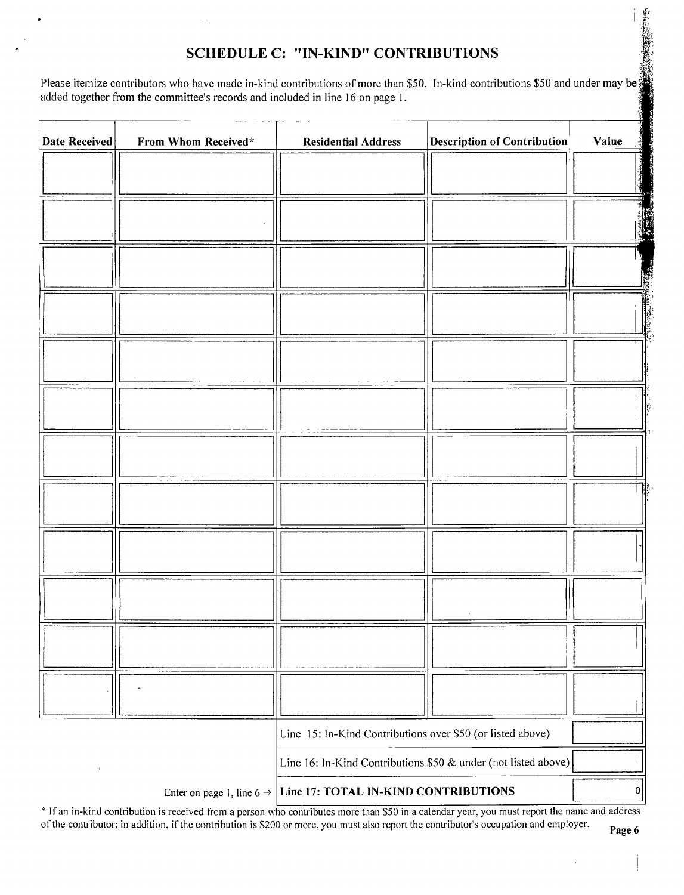## SCHEDULE C: "IN-KIND" CONTRIBUTIONS

Please itemize contributors who have made in-kind contributions of more than \$50. In-kind contributions \$50 and under may be; added together from the committee's records and included in line 16 on page 1.

| <b>Date Received</b> | From Whom Received* | <b>Description of Contribution</b><br><b>Residential Address</b>           | Value |
|----------------------|---------------------|----------------------------------------------------------------------------|-------|
|                      |                     |                                                                            |       |
|                      |                     |                                                                            |       |
|                      |                     |                                                                            |       |
|                      |                     |                                                                            |       |
|                      |                     |                                                                            |       |
|                      |                     |                                                                            |       |
|                      |                     |                                                                            |       |
|                      |                     |                                                                            |       |
|                      |                     |                                                                            |       |
|                      |                     |                                                                            |       |
|                      |                     |                                                                            |       |
|                      |                     |                                                                            |       |
|                      |                     |                                                                            |       |
|                      |                     | Line 15: In-Kind Contributions over \$50 (or listed above)                 |       |
|                      |                     | Line 16: In-Kind Contributions \$50 & under (not listed above)             |       |
|                      |                     | Enter on page 1, line $6 \rightarrow$ Line 17: TOTAL IN-KIND CONTRIBUTIONS | Ò     |

If an in- kind contribution is received from <sup>a</sup> person who contributes more than\$ <sup>50</sup> in <sup>a</sup> calendar year, you must report the name and address of the contributor; in addition, if the contribution is \$200 or more, you must also report the contributor's occupation and employer. Page 6